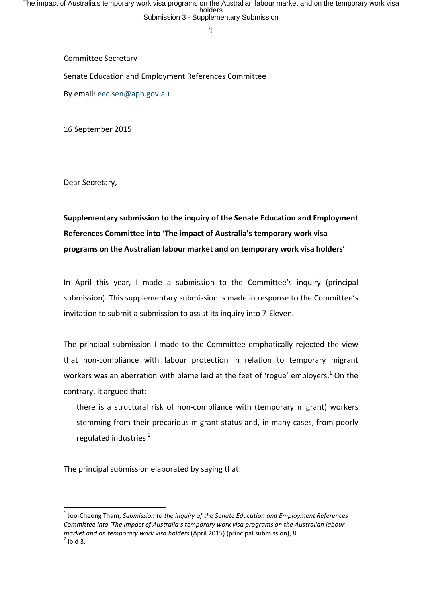The impact of Australia's temporary work visa programs on the Australian labour market and on the temporary work visa<br>holders<br>Submission 3 - Supplementary Submission

1

Committee Secretary

Senate Education and Employment References Committee

By email: eec.sen@aph.gov.au

16 September 2015

Dear Secretary,

Supplementary submission to the inquiry of the Senate Education and Employment References Committee into 'The impact of Australia's temporary work visa programs on the Australian labour market and on temporary work visa holders'

In April this year, I made a submission to the Committee's inquiry (principal submission). This supplementary submission is made in response to the Committee's invitation to submit a submission to assist its inquiry into 7-Eleven.

The principal submission I made to the Committee emphatically rejected the view that non-compliance with labour protection in relation to temporary migrant workers was an aberration with blame laid at the feet of 'rogue' employers.<sup>1</sup> On the contrary, it argued that:

there is a structural risk of non-compliance with (temporary migrant) workers stemming from their precarious migrant status and, in many cases, from poorly regulated industries. $2$ 

The principal submission elaborated by saying that:

<sup>&</sup>lt;sup>1</sup> Joo-Cheong Tham, Submission to the inquiry of the Senate Education and Employment References Committee into 'The impact of Australia's temporary work visa programs on the Australian labour *market and on temporary work visa holders* (April 2015) (principal submission), 8.<br><sup>2</sup> Ibid 3.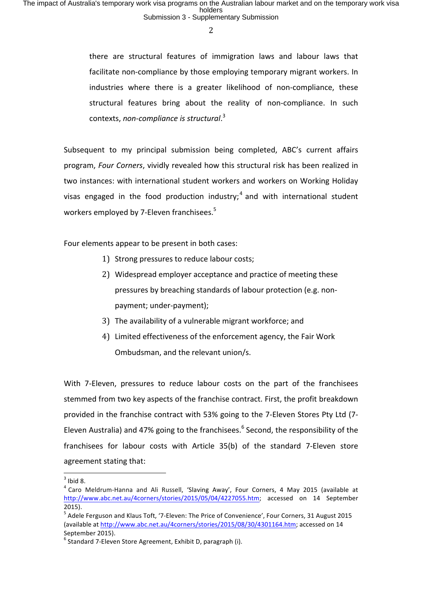there are structural features of immigration laws and labour laws that facilitate non-compliance by those employing temporary migrant workers. In industries where there is a greater likelihood of non-compliance, these structural features bring about the reality of non-compliance. In such contexts, non-compliance is structural.<sup>3</sup>

Subsequent to my principal submission being completed, ABC's current affairs program, *Four Corners*, vividly revealed how this structural risk has been realized in two instances: with international student workers and workers on Working Holiday visas engaged in the food production industry;<sup>4</sup> and with international student workers employed by 7-Eleven franchisees.<sup>5</sup>

Four elements appear to be present in both cases:

- 1) Strong pressures to reduce labour costs;
- 2) Widespread employer acceptance and practice of meeting these pressures by breaching standards of labour protection (e.g. nonpayment; under-payment);
- 3) The availability of a vulnerable migrant workforce; and
- 4) Limited effectiveness of the enforcement agency, the Fair Work Ombudsman, and the relevant union/s.

With 7-Eleven, pressures to reduce labour costs on the part of the franchisees stemmed from two key aspects of the franchise contract. First, the profit breakdown provided in the franchise contract with 53% going to the 7-Eleven Stores Pty Ltd (7-Eleven Australia) and 47% going to the franchisees.<sup>6</sup> Second, the responsibility of the franchisees for labour costs with Article 35(b) of the standard 7-Eleven store agreement stating that:

 $3$  Ibid 8.<br> $4$  Caro Meldrum-Hanna and Ali Russell, 'Slaving Away', Four Corners, 4 May 2015 (available at http://www.abc.net.au/4corners/stories/2015/05/04/4227055.htm; accessed on 14 September 2015).

 $5$  Adele Ferguson and Klaus Toft, '7-Eleven: The Price of Convenience', Four Corners, 31 August 2015 (available at http://www.abc.net.au/4corners/stories/2015/08/30/4301164.htm; accessed on 14 September 2015).

 $6$  Standard 7-Eleven Store Agreement, Exhibit D, paragraph (i).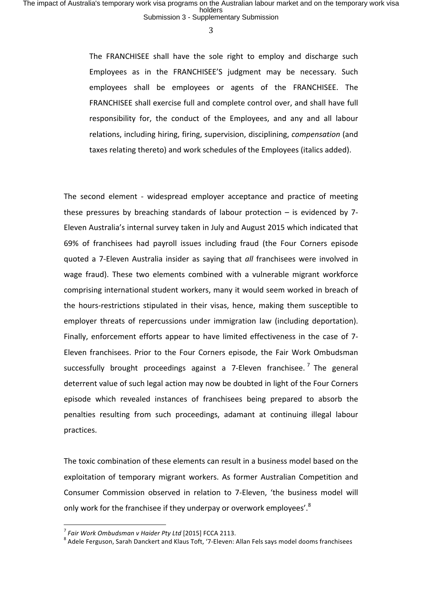The FRANCHISEE shall have the sole right to employ and discharge such Employees as in the FRANCHISEE'S judgment may be necessary. Such employees shall be employees or agents of the FRANCHISEE. The FRANCHISEE shall exercise full and complete control over, and shall have full responsibility for, the conduct of the Employees, and any and all labour relations, including hiring, firing, supervision, disciplining, *compensation* (and taxes relating thereto) and work schedules of the Employees (italics added).

The second element - widespread employer acceptance and practice of meeting these pressures by breaching standards of labour protection  $-$  is evidenced by 7-Eleven Australia's internal survey taken in July and August 2015 which indicated that 69% of franchisees had payroll issues including fraud (the Four Corners episode quoted a 7-Eleven Australia insider as saying that *all* franchisees were involved in wage fraud). These two elements combined with a vulnerable migrant workforce comprising international student workers, many it would seem worked in breach of the hours-restrictions stipulated in their visas, hence, making them susceptible to employer threats of repercussions under immigration law (including deportation). Finally, enforcement efforts appear to have limited effectiveness in the case of 7-Eleven franchisees. Prior to the Four Corners episode, the Fair Work Ombudsman successfully brought proceedings against a 7-Eleven franchisee.<sup>7</sup> The general deterrent value of such legal action may now be doubted in light of the Four Corners episode which revealed instances of franchisees being prepared to absorb the penalties resulting from such proceedings, adamant at continuing illegal labour practices.

The toxic combination of these elements can result in a business model based on the exploitation of temporary migrant workers. As former Australian Competition and Consumer Commission observed in relation to 7-Eleven, 'the business model will only work for the franchisee if they underpay or overwork employees'.<sup>8</sup>

<sup>&</sup>lt;sup>7</sup> Fair Work Ombudsman v Haider Pty Ltd [2015] FCCA 2113.<br><sup>8</sup> Adele Ferguson, Sarah Danckert and Klaus Toft, '7-Eleven: Allan Fels says model dooms franchisees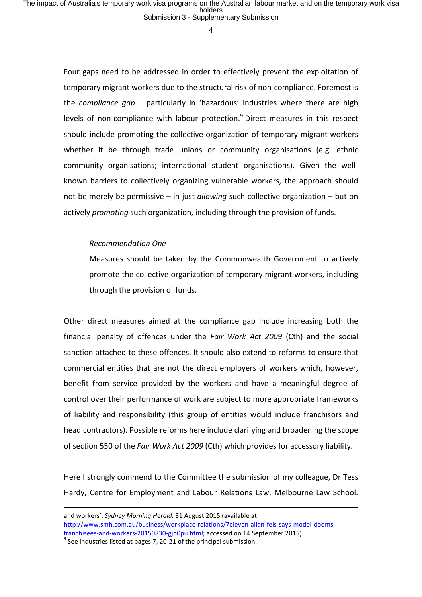The impact of Australia's temporary work visa programs on the Australian labour market and on the temporary work visa<br>holders<br>Submission 3 - Supplementary Submission

4

Four gaps need to be addressed in order to effectively prevent the exploitation of temporary migrant workers due to the structural risk of non-compliance. Foremost is the *compliance gap* – particularly in 'hazardous' industries where there are high levels of non-compliance with labour protection.<sup>9</sup> Direct measures in this respect should include promoting the collective organization of temporary migrant workers whether it be through trade unions or community organisations (e.g. ethnic community organisations; international student organisations). Given the wellknown barriers to collectively organizing vulnerable workers, the approach should not be merely be permissive – in just *allowing* such collective organization – but on actively *promoting* such organization, including through the provision of funds.

### *Recommendation One*

Measures should be taken by the Commonwealth Government to actively promote the collective organization of temporary migrant workers, including through the provision of funds.

Other direct measures aimed at the compliance gap include increasing both the financial penalty of offences under the *Fair Work Act 2009* (Cth) and the social sanction attached to these offences. It should also extend to reforms to ensure that commercial entities that are not the direct employers of workers which, however, benefit from service provided by the workers and have a meaningful degree of control over their performance of work are subject to more appropriate frameworks of liability and responsibility (this group of entities would include franchisors and head contractors). Possible reforms here include clarifying and broadening the scope of section 550 of the *Fair Work Act 2009* (Cth) which provides for accessory liability.

Here I strongly commend to the Committee the submission of my colleague, Dr Tess Hardy, Centre for Employment and Labour Relations Law, Melbourne Law School.

<u> 1989 - Andrea San Andrew Maria (h. 1989).</u><br>1900 - Andrew Maria (h. 1980).

and workers', Sydney Morning Herald, 31 August 2015 (available at http://www.smh.com.au/business/workplace-relations/7eleven-allan-fels-says-model-doomsfranchisees-and-workers-20150830-gjb0pu.html; accessed on 14 September 2015). <sup>9</sup> See industries listed at pages 7, 20-21 of the principal submission.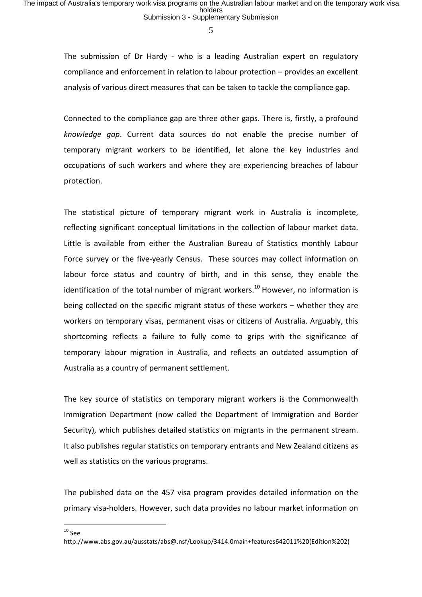The submission of Dr Hardy - who is a leading Australian expert on regulatory compliance and enforcement in relation to labour protection – provides an excellent analysis of various direct measures that can be taken to tackle the compliance gap.

Connected to the compliance gap are three other gaps. There is, firstly, a profound *knowledge gap*. Current data sources do not enable the precise number of temporary migrant workers to be identified, let alone the key industries and occupations of such workers and where they are experiencing breaches of labour protection. 

The statistical picture of temporary migrant work in Australia is incomplete, reflecting significant conceptual limitations in the collection of labour market data. Little is available from either the Australian Bureau of Statistics monthly Labour Force survey or the five-yearly Census. These sources may collect information on labour force status and country of birth, and in this sense, they enable the identification of the total number of migrant workers.<sup>10</sup> However, no information is being collected on the specific migrant status of these workers  $-$  whether they are workers on temporary visas, permanent visas or citizens of Australia. Arguably, this shortcoming reflects a failure to fully come to grips with the significance of temporary labour migration in Australia, and reflects an outdated assumption of Australia as a country of permanent settlement.

The key source of statistics on temporary migrant workers is the Commonwealth Immigration Department (now called the Department of Immigration and Border Security), which publishes detailed statistics on migrants in the permanent stream. It also publishes regular statistics on temporary entrants and New Zealand citizens as well as statistics on the various programs.

The published data on the 457 visa program provides detailed information on the primary visa-holders. However, such data provides no labour market information on

 $10$  See

http://www.abs.gov.au/ausstats/abs@.nsf/Lookup/3414.0main+features642011%20(Edition%202)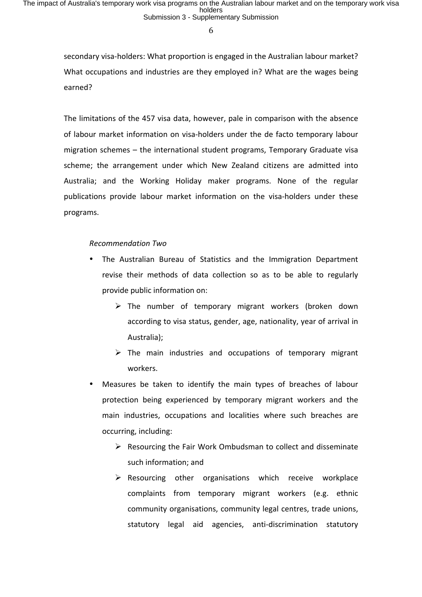secondary visa-holders: What proportion is engaged in the Australian labour market? What occupations and industries are they employed in? What are the wages being earned? 

The limitations of the 457 visa data, however, pale in comparison with the absence of labour market information on visa-holders under the de facto temporary labour migration schemes  $-$  the international student programs, Temporary Graduate visa scheme; the arrangement under which New Zealand citizens are admitted into Australia; and the Working Holiday maker programs. None of the regular publications provide labour market information on the visa-holders under these programs. 

### *Recommendation Two*

- The Australian Bureau of Statistics and the Immigration Department revise their methods of data collection so as to be able to regularly provide public information on:
	- $\triangleright$  The number of temporary migrant workers (broken down according to visa status, gender, age, nationality, year of arrival in Australia);
	- $\triangleright$  The main industries and occupations of temporary migrant workers.
- Measures be taken to identify the main types of breaches of labour protection being experienced by temporary migrant workers and the main industries, occupations and localities where such breaches are occurring, including:
	- $\triangleright$  Resourcing the Fair Work Ombudsman to collect and disseminate such information; and
	- $\triangleright$  Resourcing other organisations which receive workplace complaints from temporary migrant workers (e.g. ethnic community organisations, community legal centres, trade unions, statutory legal aid agencies, anti-discrimination statutory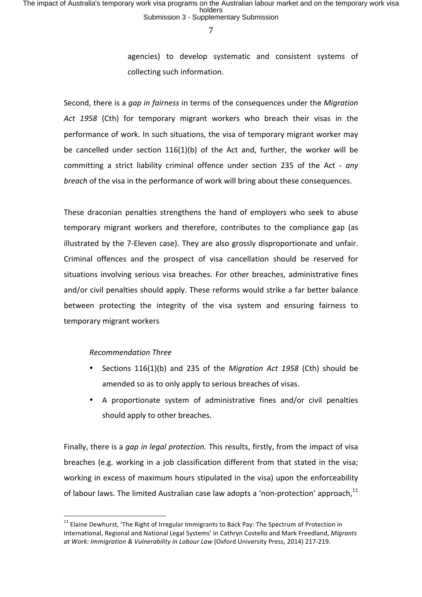agencies) to develop systematic and consistent systems of collecting such information.

Second, there is a *qap in fairness* in terms of the consequences under the *Migration* Act 1958 (Cth) for temporary migrant workers who breach their visas in the performance of work. In such situations, the visa of temporary migrant worker may be cancelled under section  $116(1)(b)$  of the Act and, further, the worker will be committing a strict liability criminal offence under section 235 of the Act - *any breach* of the visa in the performance of work will bring about these consequences.

These draconian penalties strengthens the hand of employers who seek to abuse temporary migrant workers and therefore, contributes to the compliance gap (as illustrated by the 7-Eleven case). They are also grossly disproportionate and unfair. Criminal offences and the prospect of visa cancellation should be reserved for situations involving serious visa breaches. For other breaches, administrative fines and/or civil penalties should apply. These reforms would strike a far better balance between protecting the integrity of the visa system and ensuring fairness to temporary migrant workers

# *Recommendation Three*

- Sections 116(1)(b) and 235 of the *Migration Act 1958* (Cth) should be amended so as to only apply to serious breaches of visas.
- A proportionate system of administrative fines and/or civil penalties should apply to other breaches.

Finally, there is a *gap in legal protection*. This results, firstly, from the impact of visa breaches (e.g. working in a job classification different from that stated in the visa; working in excess of maximum hours stipulated in the visa) upon the enforceability of labour laws. The limited Australian case law adopts a 'non-protection' approach.<sup>11</sup>

 $11$  Elaine Dewhurst, 'The Right of Irregular Immigrants to Back Pay: The Spectrum of Protection in International, Regional and National Legal Systems' in Cathryn Costello and Mark Freedland, Migrants at Work: Immigration & Vulnerability in Labour Law (Oxford University Press, 2014) 217-219.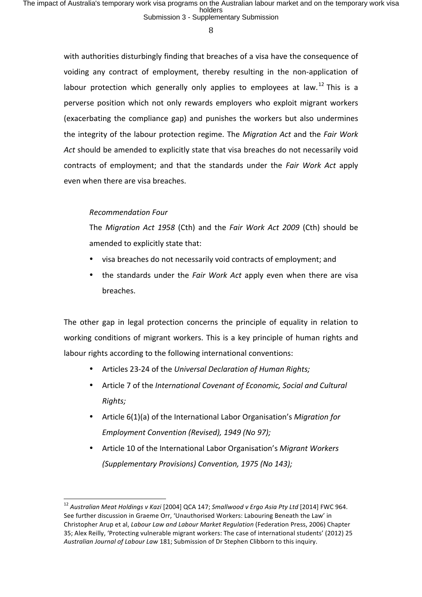with authorities disturbingly finding that breaches of a visa have the consequence of voiding any contract of employment, thereby resulting in the non-application of labour protection which generally only applies to employees at law.<sup>12</sup> This is a perverse position which not only rewards employers who exploit migrant workers (exacerbating the compliance gap) and punishes the workers but also undermines the integrity of the labour protection regime. The *Migration Act* and the *Fair Work* Act should be amended to explicitly state that visa breaches do not necessarily void contracts of employment; and that the standards under the *Fair Work Act* apply even when there are visa breaches.

## *Recommendation Four*

The *Migration Act 1958* (Cth) and the *Fair Work Act 2009* (Cth) should be amended to explicitly state that:

- visa breaches do not necessarily void contracts of employment; and
- the standards under the *Fair Work Act* apply even when there are visa breaches.

The other gap in legal protection concerns the principle of equality in relation to working conditions of migrant workers. This is a key principle of human rights and labour rights according to the following international conventions:

- Articles 23-24 of the Universal Declaration of Human Rights;
- Article 7 of the *International Covenant of Economic, Social and Cultural Rights;*
- Article  $6(1)(a)$  of the International Labor Organisation's *Migration for Employment Convention (Revised), 1949 (No 97);*
- Article 10 of the International Labor Organisation's Migrant Workers *(Supplementary Provisions) Convention, 1975 (No 143);*

<sup>&</sup>lt;sup>12</sup> Australian Meat Holdings v Kazi [2004] QCA 147; Smallwood v Ergo Asia Pty Ltd [2014] FWC 964. See further discussion in Graeme Orr, 'Unauthorised Workers: Labouring Beneath the Law' in Christopher Arup et al, *Labour Law and Labour Market Regulation* (Federation Press, 2006) Chapter 35; Alex Reilly, 'Protecting vulnerable migrant workers: The case of international students' (2012) 25 Australian Journal of Labour Law 181; Submission of Dr Stephen Clibborn to this inquiry.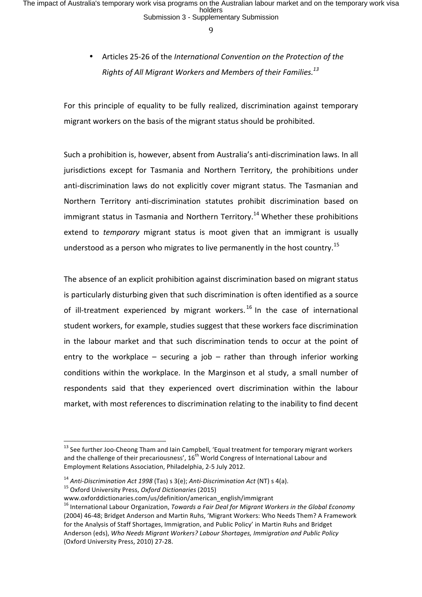# Articles 25-26 of the *International Convention on the Protection of the Rights of All Migrant Workers and Members of their Families.*<sup>13</sup>

For this principle of equality to be fully realized, discrimination against temporary migrant workers on the basis of the migrant status should be prohibited.

Such a prohibition is, however, absent from Australia's anti-discrimination laws. In all jurisdictions except for Tasmania and Northern Territory, the prohibitions under anti-discrimination laws do not explicitly cover migrant status. The Tasmanian and Northern Territory anti-discrimination statutes prohibit discrimination based on immigrant status in Tasmania and Northern Territory.<sup>14</sup> Whether these prohibitions extend to *temporary* migrant status is moot given that an immigrant is usually understood as a person who migrates to live permanently in the host country.<sup>15</sup>

The absence of an explicit prohibition against discrimination based on migrant status is particularly disturbing given that such discrimination is often identified as a source of ill-treatment experienced by migrant workers.<sup>16</sup> In the case of international student workers, for example, studies suggest that these workers face discrimination in the labour market and that such discrimination tends to occur at the point of entry to the workplace  $-$  securing a job  $-$  rather than through inferior working conditions within the workplace. In the Marginson et al study, a small number of respondents said that they experienced overt discrimination within the labour market, with most references to discrimination relating to the inability to find decent

 $13$  See further Joo-Cheong Tham and Iain Campbell, 'Equal treatment for temporary migrant workers and the challenge of their precariousness',  $16^{th}$  World Congress of International Labour and Employment Relations Association, Philadelphia, 2-5 July 2012.

<sup>&</sup>lt;sup>14</sup> Anti-Discrimination Act 1998 (Tas) s 3(e); Anti-Discrimination Act (NT) s 4(a).<br><sup>15</sup> Oxford University Press, *Oxford Dictionaries* (2015)

www.oxforddictionaries.com/us/definition/american\_english/immigrant 

<sup>&</sup>lt;sup>16</sup> International Labour Organization, *Towards a Fair Deal for Migrant Workers in the Global Economy* (2004) 46-48; Bridget Anderson and Martin Ruhs, 'Migrant Workers: Who Needs Them? A Framework for the Analysis of Staff Shortages, Immigration, and Public Policy' in Martin Ruhs and Bridget Anderson (eds), *Who Needs Migrant Workers? Labour Shortages, Immigration and Public Policy* (Oxford University Press, 2010) 27-28.